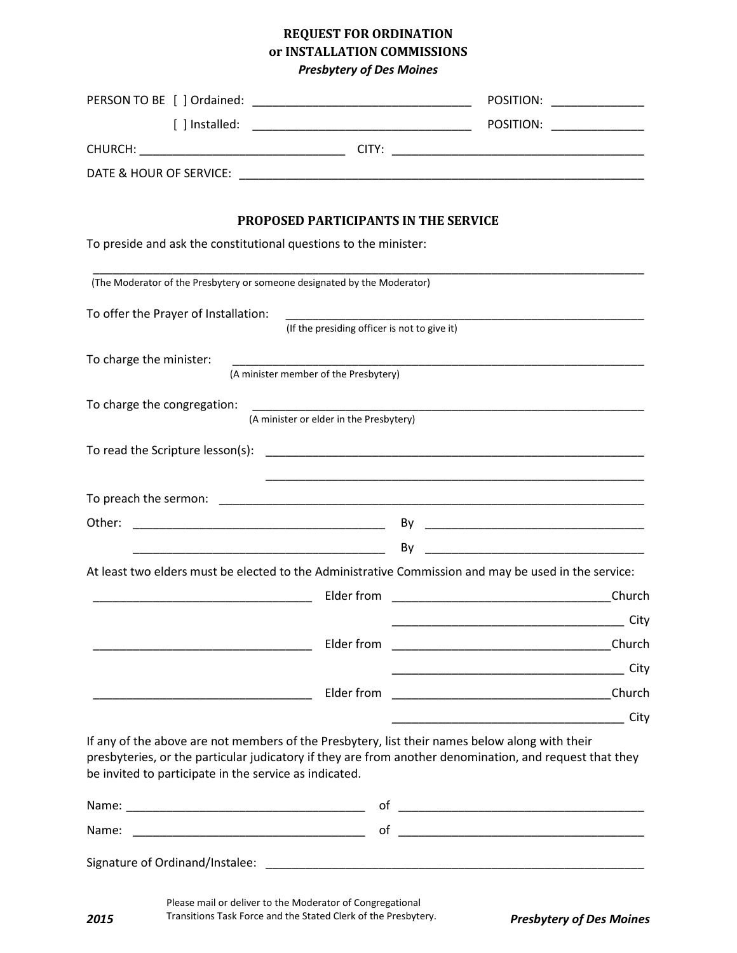## **REQUEST FOR ORDINATION or INSTALLATION COMMISSIONS**  *Presbytery of Des Moines*

|                                                                                                                                                          |                                              | POSITION:                                                                                                                       |
|----------------------------------------------------------------------------------------------------------------------------------------------------------|----------------------------------------------|---------------------------------------------------------------------------------------------------------------------------------|
|                                                                                                                                                          |                                              | POSITION:                                                                                                                       |
|                                                                                                                                                          |                                              |                                                                                                                                 |
|                                                                                                                                                          |                                              |                                                                                                                                 |
|                                                                                                                                                          |                                              |                                                                                                                                 |
|                                                                                                                                                          | <b>PROPOSED PARTICIPANTS IN THE SERVICE</b>  |                                                                                                                                 |
| To preside and ask the constitutional questions to the minister:                                                                                         |                                              |                                                                                                                                 |
| (The Moderator of the Presbytery or someone designated by the Moderator)                                                                                 |                                              |                                                                                                                                 |
| To offer the Prayer of Installation:                                                                                                                     |                                              |                                                                                                                                 |
|                                                                                                                                                          | (If the presiding officer is not to give it) |                                                                                                                                 |
| To charge the minister:                                                                                                                                  |                                              |                                                                                                                                 |
|                                                                                                                                                          | (A minister member of the Presbytery)        |                                                                                                                                 |
| To charge the congregation:                                                                                                                              | (A minister or elder in the Presbytery)      |                                                                                                                                 |
|                                                                                                                                                          |                                              |                                                                                                                                 |
|                                                                                                                                                          |                                              |                                                                                                                                 |
|                                                                                                                                                          |                                              |                                                                                                                                 |
|                                                                                                                                                          |                                              |                                                                                                                                 |
|                                                                                                                                                          |                                              | <u> 1989 - Johann Barbara, martxa alemaniar a</u><br>By                                                                         |
|                                                                                                                                                          |                                              | At least two elders must be elected to the Administrative Commission and may be used in the service:                            |
|                                                                                                                                                          | Elder from                                   | Church<br><u> 1999 - Johann Harry Harry Harry Harry Harry Harry Harry Harry Harry Harry Harry Harry Harry Harry Harry Harry</u> |
|                                                                                                                                                          |                                              | City                                                                                                                            |
|                                                                                                                                                          | Elder from                                   |                                                                                                                                 |
|                                                                                                                                                          |                                              | City                                                                                                                            |
|                                                                                                                                                          | Elder from                                   |                                                                                                                                 |
|                                                                                                                                                          |                                              | City                                                                                                                            |
| If any of the above are not members of the Presbytery, list their names below along with their<br>be invited to participate in the service as indicated. |                                              | presbyteries, or the particular judicatory if they are from another denomination, and request that they                         |
|                                                                                                                                                          |                                              |                                                                                                                                 |
| Name:                                                                                                                                                    |                                              |                                                                                                                                 |
| Signature of Ordinand/Instalee:                                                                                                                          |                                              |                                                                                                                                 |